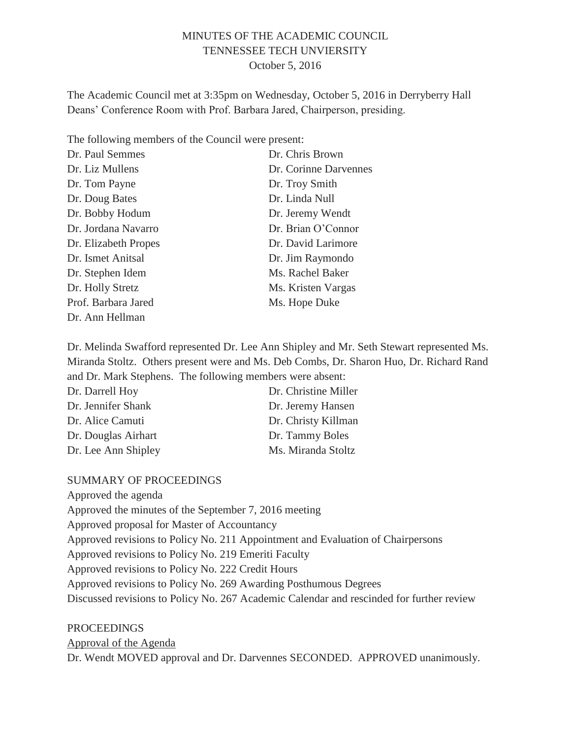### MINUTES OF THE ACADEMIC COUNCIL TENNESSEE TECH UNVIERSITY October 5, 2016

The Academic Council met at 3:35pm on Wednesday, October 5, 2016 in Derryberry Hall Deans' Conference Room with Prof. Barbara Jared, Chairperson, presiding.

The following members of the Council were present:

| Dr. Paul Semmes      | Dr. Chris Brown       |
|----------------------|-----------------------|
| Dr. Liz Mullens      | Dr. Corinne Darvennes |
| Dr. Tom Payne        | Dr. Troy Smith        |
| Dr. Doug Bates       | Dr. Linda Null        |
| Dr. Bobby Hodum      | Dr. Jeremy Wendt      |
| Dr. Jordana Navarro  | Dr. Brian O'Connor    |
| Dr. Elizabeth Propes | Dr. David Larimore    |
| Dr. Ismet Anitsal    | Dr. Jim Raymondo      |
| Dr. Stephen Idem     | Ms. Rachel Baker      |
| Dr. Holly Stretz     | Ms. Kristen Vargas    |
| Prof. Barbara Jared  | Ms. Hope Duke         |
| Dr. Ann Hellman      |                       |

Dr. Melinda Swafford represented Dr. Lee Ann Shipley and Mr. Seth Stewart represented Ms. Miranda Stoltz. Others present were and Ms. Deb Combs, Dr. Sharon Huo, Dr. Richard Rand and Dr. Mark Stephens. The following members were absent:

| Dr. Darrell Hoy     | Dr. Christine Miller |
|---------------------|----------------------|
| Dr. Jennifer Shank  | Dr. Jeremy Hansen    |
| Dr. Alice Camuti    | Dr. Christy Killman  |
| Dr. Douglas Airhart | Dr. Tammy Boles      |
| Dr. Lee Ann Shipley | Ms. Miranda Stoltz   |

#### SUMMARY OF PROCEEDINGS

Approved the agenda Approved the minutes of the September 7, 2016 meeting Approved proposal for Master of Accountancy Approved revisions to Policy No. 211 Appointment and Evaluation of Chairpersons Approved revisions to Policy No. 219 Emeriti Faculty Approved revisions to Policy No. 222 Credit Hours Approved revisions to Policy No. 269 Awarding Posthumous Degrees Discussed revisions to Policy No. 267 Academic Calendar and rescinded for further review

PROCEEDINGS Approval of the Agenda Dr. Wendt MOVED approval and Dr. Darvennes SECONDED. APPROVED unanimously.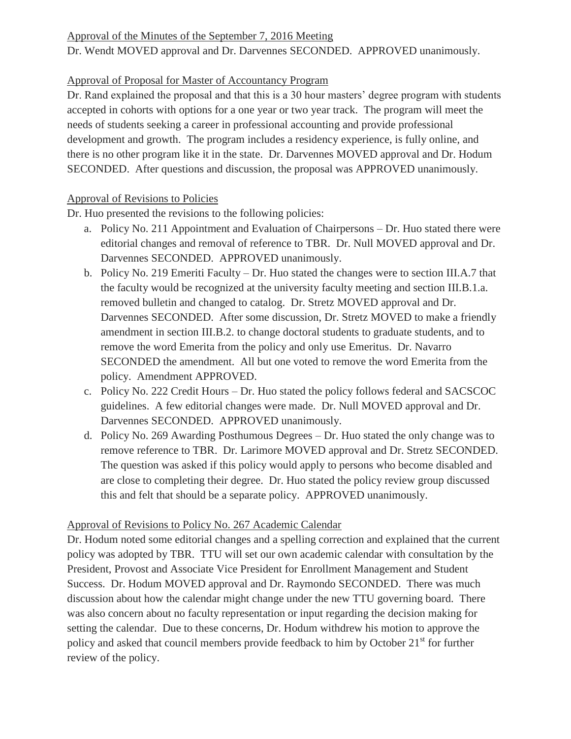#### Approval of the Minutes of the September 7, 2016 Meeting

Dr. Wendt MOVED approval and Dr. Darvennes SECONDED. APPROVED unanimously.

## Approval of Proposal for Master of Accountancy Program

Dr. Rand explained the proposal and that this is a 30 hour masters' degree program with students accepted in cohorts with options for a one year or two year track. The program will meet the needs of students seeking a career in professional accounting and provide professional development and growth. The program includes a residency experience, is fully online, and there is no other program like it in the state. Dr. Darvennes MOVED approval and Dr. Hodum SECONDED. After questions and discussion, the proposal was APPROVED unanimously.

## Approval of Revisions to Policies

Dr. Huo presented the revisions to the following policies:

- a. Policy No. 211 Appointment and Evaluation of Chairpersons Dr. Huo stated there were editorial changes and removal of reference to TBR. Dr. Null MOVED approval and Dr. Darvennes SECONDED. APPROVED unanimously.
- b. Policy No. 219 Emeriti Faculty Dr. Huo stated the changes were to section III.A.7 that the faculty would be recognized at the university faculty meeting and section III.B.1.a. removed bulletin and changed to catalog. Dr. Stretz MOVED approval and Dr. Darvennes SECONDED. After some discussion, Dr. Stretz MOVED to make a friendly amendment in section III.B.2. to change doctoral students to graduate students, and to remove the word Emerita from the policy and only use Emeritus. Dr. Navarro SECONDED the amendment. All but one voted to remove the word Emerita from the policy. Amendment APPROVED.
- c. Policy No. 222 Credit Hours Dr. Huo stated the policy follows federal and SACSCOC guidelines. A few editorial changes were made. Dr. Null MOVED approval and Dr. Darvennes SECONDED. APPROVED unanimously.
- d. Policy No. 269 Awarding Posthumous Degrees Dr. Huo stated the only change was to remove reference to TBR. Dr. Larimore MOVED approval and Dr. Stretz SECONDED. The question was asked if this policy would apply to persons who become disabled and are close to completing their degree. Dr. Huo stated the policy review group discussed this and felt that should be a separate policy. APPROVED unanimously.

# Approval of Revisions to Policy No. 267 Academic Calendar

Dr. Hodum noted some editorial changes and a spelling correction and explained that the current policy was adopted by TBR. TTU will set our own academic calendar with consultation by the President, Provost and Associate Vice President for Enrollment Management and Student Success. Dr. Hodum MOVED approval and Dr. Raymondo SECONDED. There was much discussion about how the calendar might change under the new TTU governing board. There was also concern about no faculty representation or input regarding the decision making for setting the calendar. Due to these concerns, Dr. Hodum withdrew his motion to approve the policy and asked that council members provide feedback to him by October 21<sup>st</sup> for further review of the policy.